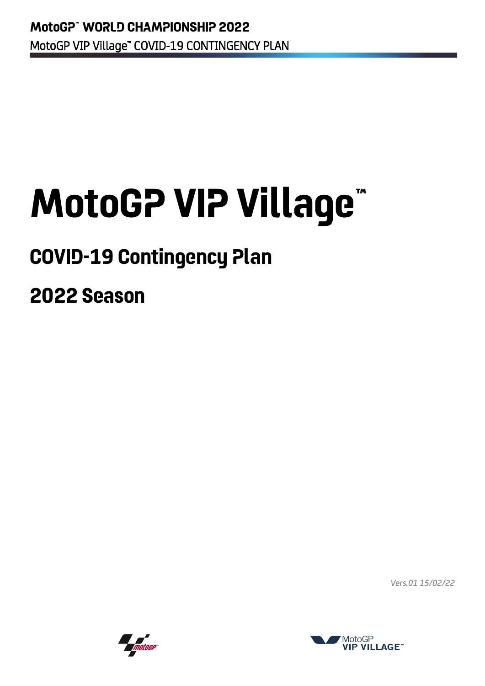# **MotoGP VIP Village™**

# **COVID-19 Contingency Plan**

**2022 Season**

*Vers.01 15/02/22*



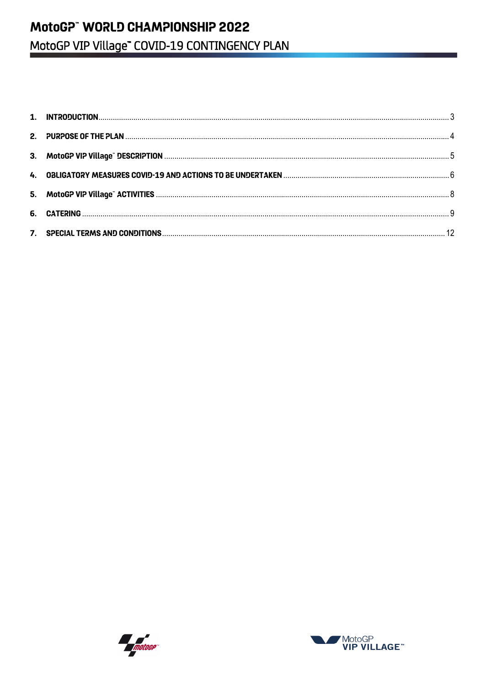## MotoGP" WORLD CHAMPIONSHIP 2022 MotoGP VIP Village" COVID-19 CONTINGENCY PLAN



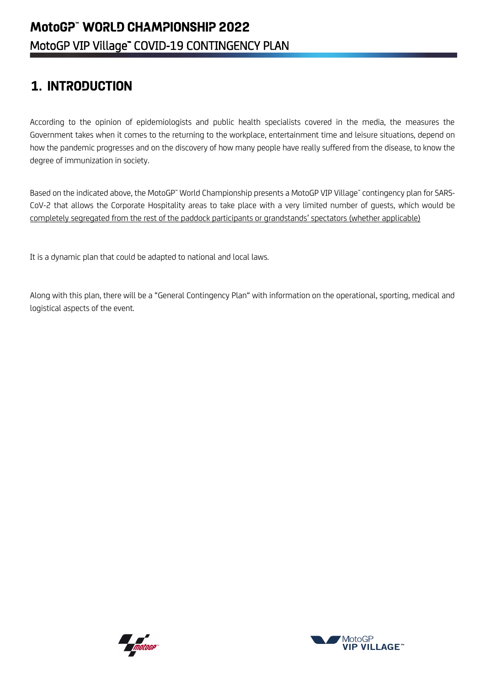## <span id="page-2-0"></span>**1. INTRODUCTION**

According to the opinion of epidemiologists and public health specialists covered in the media, the measures the Government takes when it comes to the returning to the workplace, entertainment time and leisure situations, depend on how the pandemic progresses and on the discovery of how many people have really suffered from the disease, to know the degree of immunization in society.

Based on the indicated above, the MotoGP™ World Championship presents a MotoGP VIP Village™ contingency plan for SARS-CoV-2 that allows the Corporate Hospitality areas to take place with a very limited number of guests, which would be completely segregated from the rest of the paddock participants or grandstands' spectators (whether applicable)

It is a dynamic plan that could be adapted to national and local laws.

Along with this plan, there will be a "General Contingency Plan" with information on the operational, sporting, medical and logistical aspects of the event.



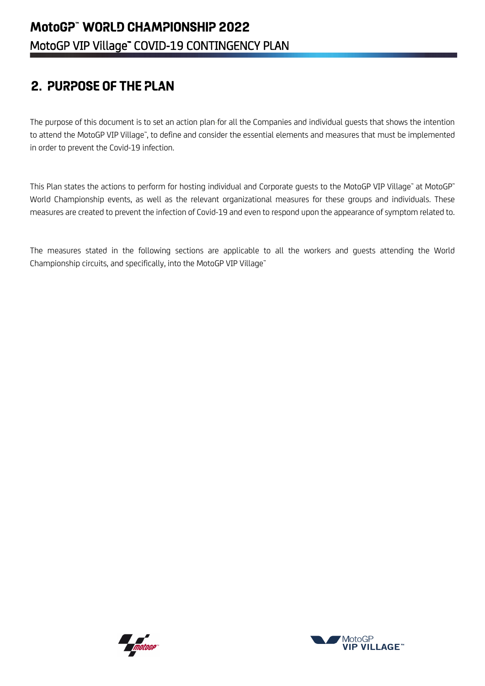## <span id="page-3-0"></span>**2. PURPOSE OF THE PLAN**

The purpose of this document is to set an action plan for all the Companies and individual guests that shows the intention to attend the MotoGP VIP Village", to define and consider the essential elements and measures that must be implemented in order to prevent the Covid-19 infection.

This Plan states the actions to perform for hosting individual and Corporate guests to the MotoGP VIP Village™ at MotoGP™ World Championship events, as well as the relevant organizational measures for these groups and individuals. These measures are created to prevent the infection of Covid-19 and even to respond upon the appearance of symptom related to.

The measures stated in the following sections are applicable to all the workers and guests attending the World Championship circuits, and specifically, into the MotoGP VIP Village™



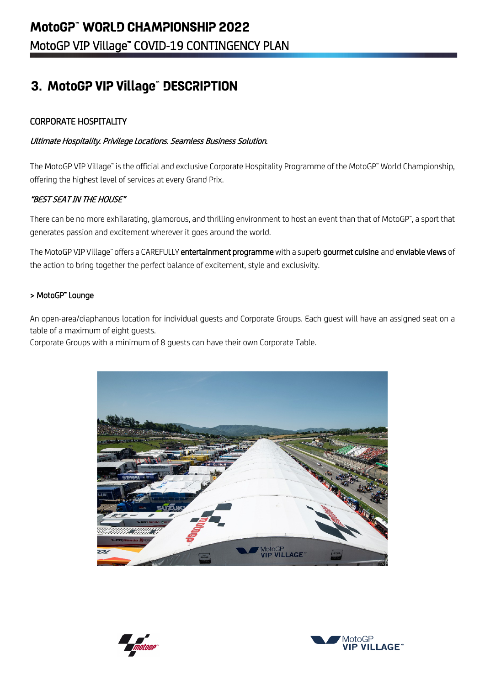## <span id="page-4-0"></span>**3. MotoGP VIP Village™ DESCRIPTION**

#### CORPORATE HOSPITALITY

#### Ultimate Hospitality. Privilege Locations. Seamless Business Solution.

The MotoGP VIP Village" is the official and exclusive Corporate Hospitality Programme of the MotoGP" World Championship, offering the highest level of services at every Grand Prix.

#### "BEST SEAT IN THE HOUSE"

There can be no more exhilarating, glamorous, and thrilling environment to host an event than that of MotoGP™, a sport that generates passion and excitement wherever it goes around the world.

The MotoGP VIP Village™ offers a CAREFULLY entertainment programme with a superb gourmet cuisine and enviable views of the action to bring together the perfect balance of excitement, style and exclusivity.

#### > MotoGP™ Lounge

An open-area/diaphanous location for individual guests and Corporate Groups. Each guest will have an assigned seat on a table of a maximum of eight guests.

Corporate Groups with a minimum of 8 guests can have their own Corporate Table.





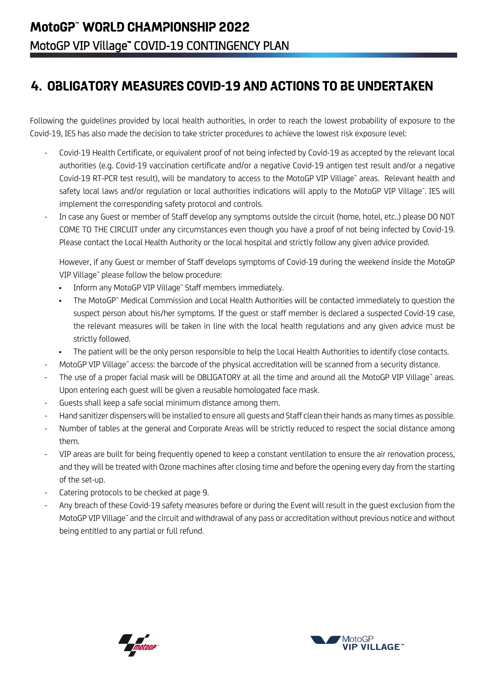## <span id="page-5-0"></span>**4. OBLIGATORY MEASURES COVID-19 AND ACTIONS TO BE UNDERTAKEN**

Following the guidelines provided by local health authorities, in order to reach the lowest probability of exposure to the Covid-19, IES has also made the decision to take stricter procedures to achieve the lowest risk exposure level:

- Covid-19 Health Certificate, or equivalent proof of not being infected by Covid-19 as accepted by the relevant local authorities (e.g. Covid-19 vaccination certificate and/or a negative Covid-19 antigen test result and/or a negative Covid-19 RT-PCR test result), will be mandatory to access to the MotoGP VIP Village™ areas. Relevant health and safety local laws and/or regulation or local authorities indications will apply to the MotoGP VIP Village™. IES will implement the corresponding safety protocol and controls.
- In case any Guest or member of Staff develop any symptoms outside the circuit (home, hotel, etc..) please DO NOT COME TO THE CIRCUIT under any circumstances even though you have a proof of not being infected by Covid-19. Please contact the Local Health Authority or the local hospital and strictly follow any given advice provided.

However, if any Guest or member of Staff develops symptoms of Covid-19 during the weekend inside the MotoGP VIP Village™ please follow the below procedure:

- Inform any MotoGP VIP Village™ Staff members immediately.
- The MotoGP™ Medical Commission and Local Health Authorities will be contacted immediately to question the suspect person about his/her symptoms. If the guest or staff member is declared a suspected Covid-19 case, the relevant measures will be taken in line with the local health regulations and any given advice must be strictly followed.
- The patient will be the only person responsible to help the Local Health Authorities to identify close contacts.
- MotoGP VIP Village™ access: the barcode of the physical accreditation will be scanned from a security distance.
- The use of a proper facial mask will be OBLIGATORY at all the time and around all the MotoGP VIP Village" areas. Upon entering each guest will be given a reusable homologated face mask.
- Guests shall keep a safe social minimum distance among them.
- Hand sanitizer dispensers will be installed to ensure all guests and Staff clean their hands as many times as possible.
- Number of tables at the general and Corporate Areas will be strictly reduced to respect the social distance among them.
- VIP areas are built for being frequently opened to keep a constant ventilation to ensure the air renovation process, and they will be treated with Ozone machines after closing time and before the opening every day from the starting of the set-up.
- Catering protocols to be checked at page 9.
- Any breach of these Covid-19 safety measures before or during the Event will result in the quest exclusion from the MotoGP VIP Village™ and the circuit and withdrawal of any pass or accreditation without previous notice and without being entitled to any partial or full refund.



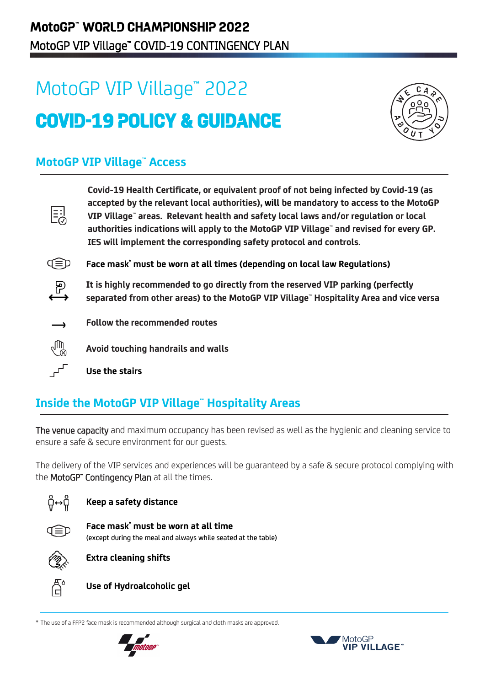## MotoGP VIP Village™ 2022 **COVID-19 POLICY & GUIDANCE**



### **MotoGP VIP Village™ Access**

| 틿        | Covid-19 Health Certificate, or equivalent proof of not being infected by Covid-19 (as<br>accepted by the relevant local authorities), will be mandatory to access to the MotoGP<br>VIP Village" areas. Relevant health and safety local laws and/or regulation or local<br>authorities indications will apply to the MotoGP VIP Village" and revised for every GP.<br>IES will implement the corresponding safety protocol and controls. |
|----------|-------------------------------------------------------------------------------------------------------------------------------------------------------------------------------------------------------------------------------------------------------------------------------------------------------------------------------------------------------------------------------------------------------------------------------------------|
|          | Face mask <sup>*</sup> must be worn at all times (depending on local law Regulations)                                                                                                                                                                                                                                                                                                                                                     |
| $\oplus$ | It is highly recommended to go directly from the reserved VIP parking (perfectly<br>separated from other areas) to the MotoGP VIP Village" Hospitality Area and vice versa                                                                                                                                                                                                                                                                |
|          | Follow the recommended routes                                                                                                                                                                                                                                                                                                                                                                                                             |
| ∕™       | Avoid touching handrails and walls                                                                                                                                                                                                                                                                                                                                                                                                        |
|          | Use the stairs                                                                                                                                                                                                                                                                                                                                                                                                                            |

## **Inside the MotoGP VIP Village™ Hospitality Areas**

The venue capacity and maximum occupancy has been revised as well as the hygienic and cleaning service to ensure a safe & secure environment for our guests.

The delivery of the VIP services and experiences will be guaranteed by a safe & secure protocol complying with the MotoGP" Contingency Plan at all the times.



#### **Keep a safety distance**



**Face mask\* must be worn at all time** (except during the meal and always while seated at the table)



**Extra cleaning shifts**



**Use of Hydroalcoholic gel**

\* The use of a FFP2 face mask is recommended although surgical and cloth masks are approved.



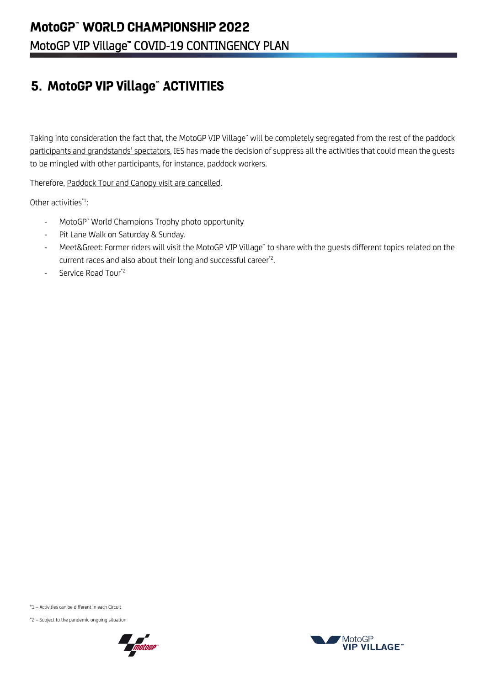## <span id="page-7-0"></span>**5. MotoGP VIP Village™ ACTIVITIES**

Taking into consideration the fact that, the MotoGP VIP Village" will be completely segregated from the rest of the paddock participants and grandstands' spectators, IES has made the decision of suppress all the activities that could mean the guests to be mingled with other participants, for instance, paddock workers.

Therefore, Paddock Tour and Canopy visit are cancelled.

Other activities $*1$ :

- MotoGP™ World Champions Trophy photo opportunity
- Pit Lane Walk on Saturday & Sunday.
- Meet&Greet: Former riders will visit the MotoGP VIP Village" to share with the guests different topics related on the current races and also about their long and successful career\*2. .
- Service Road Tour<sup>\*2</sup>

\*1 – Activities can be different in each Circuit

\*2 – Subject to the pandemic ongoing situation



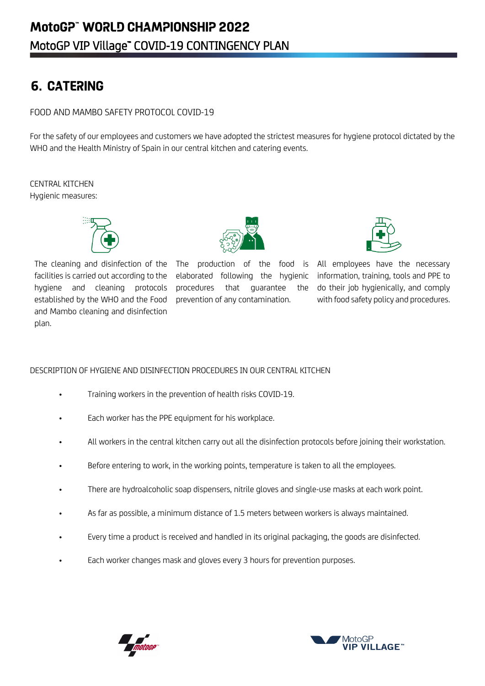## <span id="page-8-0"></span>**6. CATERING**

#### FOOD AND MAMBO SAFETY PROTOCOL COVID-19

For the safety of our employees and customers we have adopted the strictest measures for hygiene protocol dictated by the WHO and the Health Ministry of Spain in our central kitchen and catering events.

CENTRAL KITCHEN Hygienic measures:



The cleaning and disinfection of the facilities is carried out according to the hygiene and cleaning protocols established by the WHO and the Food and Mambo cleaning and disinfection plan.



elaborated following the hygienic procedures that guarantee the prevention of any contamination.



The production of the food is All employees have the necessary information, training, tools and PPE to do their job hygienically, and comply with food safety policy and procedures.

#### DESCRIPTION OF HYGIENE AND DISINFECTION PROCEDURES IN OUR CENTRAL KITCHEN

- Training workers in the prevention of health risks COVID-19.
- Each worker has the PPE equipment for his workplace.
- All workers in the central kitchen carry out all the disinfection protocols before joining their workstation.
- Before entering to work, in the working points, temperature is taken to all the employees.
- There are hydroalcoholic soap dispensers, nitrile gloves and single-use masks at each work point.
- As far as possible, a minimum distance of 1.5 meters between workers is always maintained.
- Every time a product is received and handled in its original packaging, the goods are disinfected.
- Each worker changes mask and gloves every 3 hours for prevention purposes.



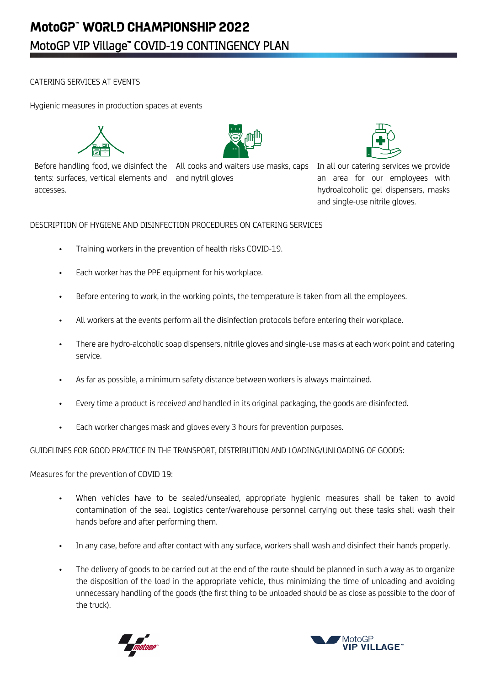#### CATERING SERVICES AT EVENTS

Hygienic measures in production spaces at events



Before handling food, we disinfect the All cooks and waiters use masks, caps In all our catering services we provide tents: surfaces, vertical elements and and nytril gloves accesses.



an area for our employees with hydroalcoholic gel dispensers, masks and single-use nitrile gloves.

#### DESCRIPTION OF HYGIENE AND DISINFECTION PROCEDURES ON CATERING SERVICES

- Training workers in the prevention of health risks COVID-19.
- Each worker has the PPE equipment for his workplace.
- Before entering to work, in the working points, the temperature is taken from all the employees.
- All workers at the events perform all the disinfection protocols before entering their workplace.
- There are hydro-alcoholic soap dispensers, nitrile gloves and single-use masks at each work point and catering service.
- As far as possible, a minimum safety distance between workers is always maintained.
- Every time a product is received and handled in its original packaging, the goods are disinfected.
- Each worker changes mask and gloves every 3 hours for prevention purposes.

GUIDELINES FOR GOOD PRACTICE IN THE TRANSPORT, DISTRIBUTION AND LOADING/UNLOADING OF GOODS:

Measures for the prevention of COVID 19:

- When vehicles have to be sealed/unsealed, appropriate hygienic measures shall be taken to avoid contamination of the seal. Logistics center/warehouse personnel carrying out these tasks shall wash their hands before and after performing them.
- In any case, before and after contact with any surface, workers shall wash and disinfect their hands properly.
- The delivery of goods to be carried out at the end of the route should be planned in such a way as to organize the disposition of the load in the appropriate vehicle, thus minimizing the time of unloading and avoiding unnecessary handling of the goods (the first thing to be unloaded should be as close as possible to the door of the truck).



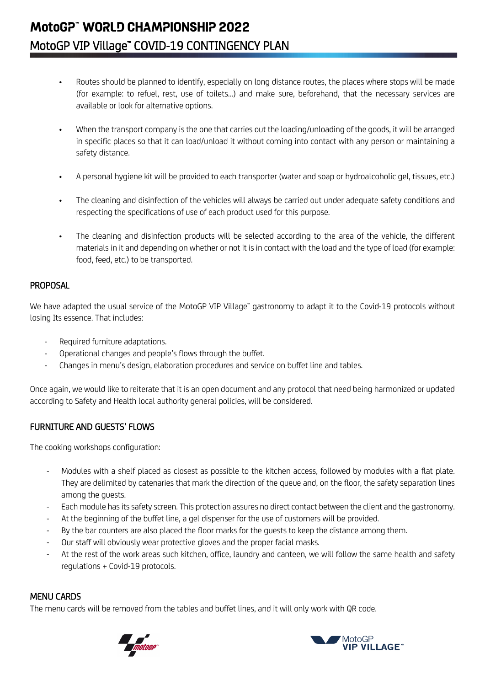## **MotoGP™ WORLD CHAMPIONSHIP 2022**  MotoGP VIP Village" COVID-19 CONTINGENCY PLAN

- Routes should be planned to identify, especially on long distance routes, the places where stops will be made (for example: to refuel, rest, use of toilets...) and make sure, beforehand, that the necessary services are available or look for alternative options.
- When the transport company is the one that carries out the loading/unloading of the goods, it will be arranged in specific places so that it can load/unload it without coming into contact with any person or maintaining a safety distance.
- A personal hygiene kit will be provided to each transporter (water and soap or hydroalcoholic gel, tissues, etc.)
- The cleaning and disinfection of the vehicles will always be carried out under adequate safety conditions and respecting the specifications of use of each product used for this purpose.
- The cleaning and disinfection products will be selected according to the area of the vehicle, the different materials in it and depending on whether or not it is in contact with the load and the type of load (for example: food, feed, etc.) to be transported.

#### PROPOSAL

We have adapted the usual service of the MotoGP VIP Village™ gastronomy to adapt it to the Covid-19 protocols without losing Its essence. That includes:

- Required furniture adaptations.
- Operational changes and people's flows through the buffet.
- Changes in menu's design, elaboration procedures and service on buffet line and tables.

Once again, we would like to reiterate that it is an open document and any protocol that need being harmonized or updated according to Safety and Health local authority general policies, will be considered.

#### FURNITURE AND GUESTS' FLOWS

The cooking workshops configuration:

- Modules with a shelf placed as closest as possible to the kitchen access, followed by modules with a flat plate. They are delimited by catenaries that mark the direction of the queue and, on the floor, the safety separation lines among the guests.
- Each module has its safety screen. This protection assures no direct contact between the client and the gastronomy.
- At the beginning of the buffet line, a gel dispenser for the use of customers will be provided.
- By the bar counters are also placed the floor marks for the quests to keep the distance among them.
- Our staff will obviously wear protective gloves and the proper facial masks.
- At the rest of the work areas such kitchen, office, laundry and canteen, we will follow the same health and safety regulations + Covid-19 protocols.

#### MENU CARDS

The menu cards will be removed from the tables and buffet lines, and it will only work with QR code.